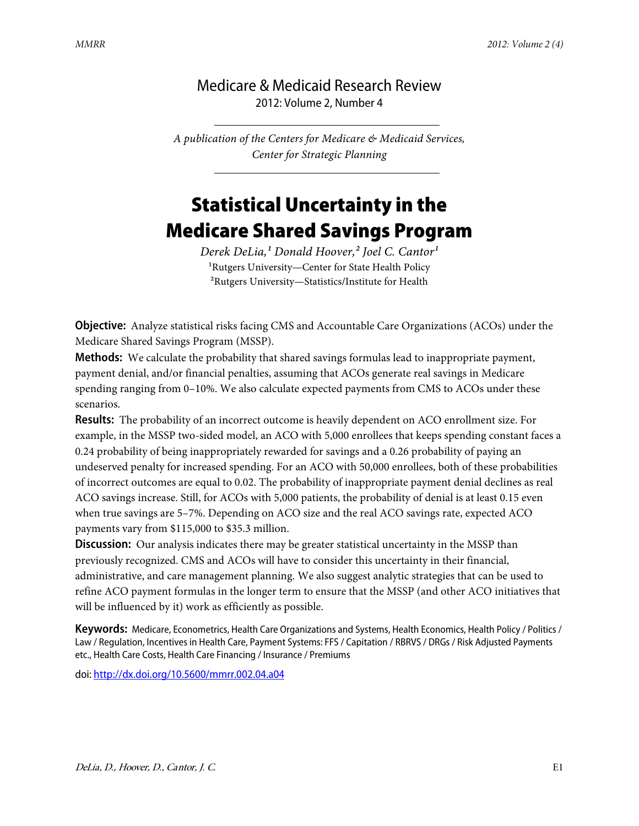## Medicare & Medicaid Research Review 2012: Volume 2, Number 4

*A publication of the Centers for Medicare & Medicaid Services, Center for Strategic Planning*

## Statistical Uncertainty in the Medicare Shared Savings Program

*Derek DeLia,<sup>1</sup> Donald Hoover,<sup>2</sup> Joel C. Cantor<sup>1</sup>* <sup>1</sup>Rutgers University—Center for State Health Policy ²Rutgers University—Statistics/Institute for Health

**Objective:** Analyze statistical risks facing CMS and Accountable Care Organizations (ACOs) under the Medicare Shared Savings Program (MSSP).

**Methods:** We calculate the probability that shared savings formulas lead to inappropriate payment, payment denial, and/or financial penalties, assuming that ACOs generate real savings in Medicare spending ranging from 0–10%. We also calculate expected payments from CMS to ACOs under these scenarios.

**Results:** The probability of an incorrect outcome is heavily dependent on ACO enrollment size. For example, in the MSSP two-sided model, an ACO with 5,000 enrollees that keeps spending constant faces a 0.24 probability of being inappropriately rewarded for savings and a 0.26 probability of paying an undeserved penalty for increased spending. For an ACO with 50,000 enrollees, both of these probabilities of incorrect outcomes are equal to 0.02. The probability of inappropriate payment denial declines as real ACO savings increase. Still, for ACOs with 5,000 patients, the probability of denial is at least 0.15 even when true savings are 5–7%. Depending on ACO size and the real ACO savings rate, expected ACO payments vary from \$115,000 to \$35.3 million.

**Discussion:** Our analysis indicates there may be greater statistical uncertainty in the MSSP than previously recognized. CMS and ACOs will have to consider this uncertainty in their financial, administrative, and care management planning. We also suggest analytic strategies that can be used to refine ACO payment formulas in the longer term to ensure that the MSSP (and other ACO initiatives that will be influenced by it) work as efficiently as possible.

**Keywords:** Medicare, Econometrics, Health Care Organizations and Systems, Health Economics, Health Policy / Politics / Law / Regulation, Incentives in Health Care, Payment Systems: FFS / Capitation / RBRVS / DRGs / Risk Adjusted Payments etc., Health Care Costs, Health Care Financing / Insurance / Premiums

doi:<http://dx.doi.org/10.5600/mmrr.002.04.a04>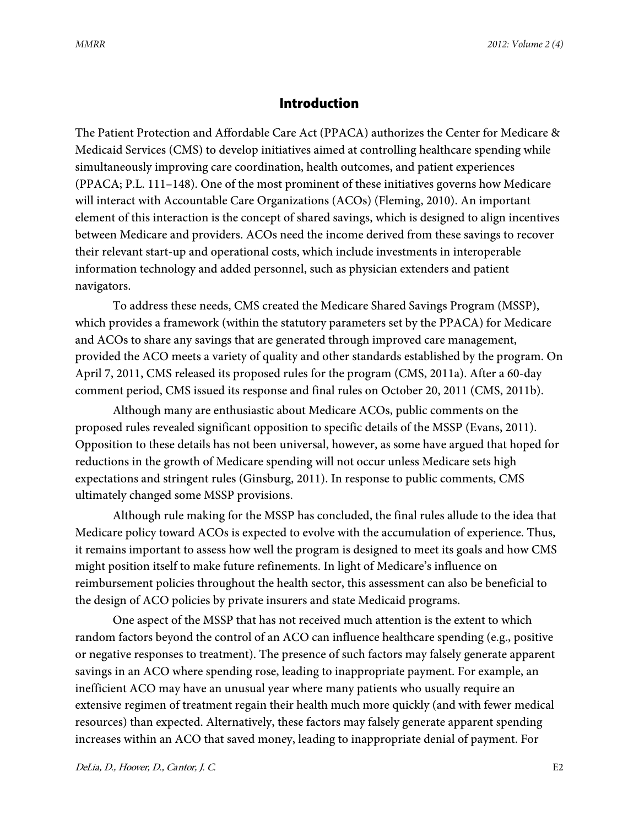## **Introduction**

The Patient Protection and Affordable Care Act (PPACA) authorizes the Center for Medicare & Medicaid Services (CMS) to develop initiatives aimed at controlling healthcare spending while simultaneously improving care coordination, health outcomes, and patient experiences (PPACA; P.L. 111–148). One of the most prominent of these initiatives governs how Medicare will interact with Accountable Care Organizations (ACOs) (Fleming, 2010). An important element of this interaction is the concept of shared savings, which is designed to align incentives between Medicare and providers. ACOs need the income derived from these savings to recover their relevant start-up and operational costs, which include investments in interoperable information technology and added personnel, such as physician extenders and patient navigators.

To address these needs, CMS created the Medicare Shared Savings Program (MSSP), which provides a framework (within the statutory parameters set by the PPACA) for Medicare and ACOs to share any savings that are generated through improved care management, provided the ACO meets a variety of quality and other standards established by the program. On April 7, 2011, CMS released its proposed rules for the program (CMS, 2011a). After a 60-day comment period, CMS issued its response and final rules on October 20, 2011 (CMS, 2011b).

Although many are enthusiastic about Medicare ACOs, public comments on the proposed rules revealed significant opposition to specific details of the MSSP (Evans, 2011). Opposition to these details has not been universal, however, as some have argued that hoped for reductions in the growth of Medicare spending will not occur unless Medicare sets high expectations and stringent rules (Ginsburg, 2011). In response to public comments, CMS ultimately changed some MSSP provisions.

Although rule making for the MSSP has concluded, the final rules allude to the idea that Medicare policy toward ACOs is expected to evolve with the accumulation of experience. Thus, it remains important to assess how well the program is designed to meet its goals and how CMS might position itself to make future refinements. In light of Medicare's influence on reimbursement policies throughout the health sector, this assessment can also be beneficial to the design of ACO policies by private insurers and state Medicaid programs.

One aspect of the MSSP that has not received much attention is the extent to which random factors beyond the control of an ACO can influence healthcare spending (e.g., positive or negative responses to treatment). The presence of such factors may falsely generate apparent savings in an ACO where spending rose, leading to inappropriate payment. For example, an inefficient ACO may have an unusual year where many patients who usually require an extensive regimen of treatment regain their health much more quickly (and with fewer medical resources) than expected. Alternatively, these factors may falsely generate apparent spending increases within an ACO that saved money, leading to inappropriate denial of payment. For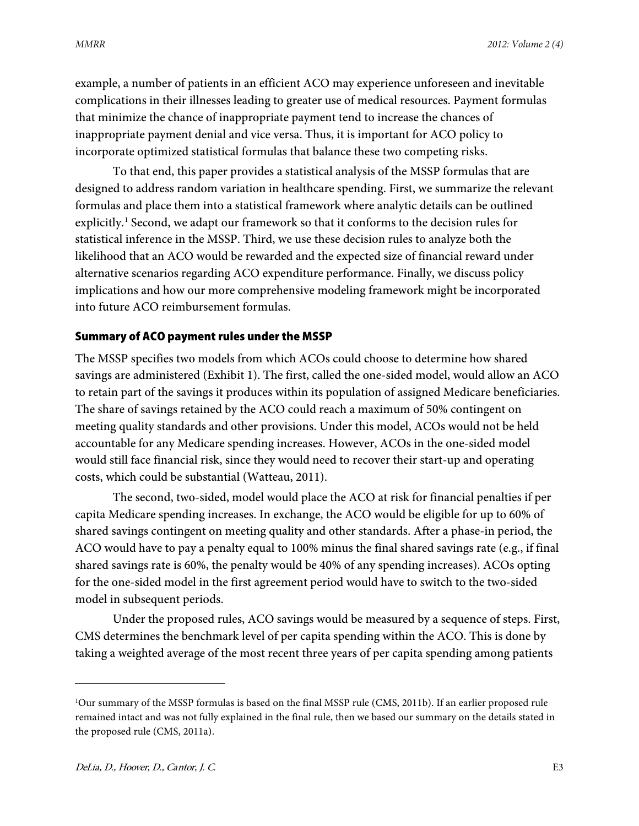example, a number of patients in an efficient ACO may experience unforeseen and inevitable complications in their illnesses leading to greater use of medical resources. Payment formulas that minimize the chance of inappropriate payment tend to increase the chances of inappropriate payment denial and vice versa. Thus, it is important for ACO policy to incorporate optimized statistical formulas that balance these two competing risks.

To that end, this paper provides a statistical analysis of the MSSP formulas that are designed to address random variation in healthcare spending. First, we summarize the relevant formulas and place them into a statistical framework where analytic details can be outlined explicitly.<sup>[1](#page-2-0)</sup> Second, we adapt our framework so that it conforms to the decision rules for statistical inference in the MSSP. Third, we use these decision rules to analyze both the likelihood that an ACO would be rewarded and the expected size of financial reward under alternative scenarios regarding ACO expenditure performance. Finally, we discuss policy implications and how our more comprehensive modeling framework might be incorporated into future ACO reimbursement formulas.

#### Summary of ACO payment rules under the MSSP

The MSSP specifies two models from which ACOs could choose to determine how shared savings are administered (Exhibit 1). The first, called the one-sided model, would allow an ACO to retain part of the savings it produces within its population of assigned Medicare beneficiaries. The share of savings retained by the ACO could reach a maximum of 50% contingent on meeting quality standards and other provisions. Under this model, ACOs would not be held accountable for any Medicare spending increases. However, ACOs in the one-sided model would still face financial risk, since they would need to recover their start-up and operating costs, which could be substantial (Watteau, 2011).

The second, two-sided, model would place the ACO at risk for financial penalties if per capita Medicare spending increases. In exchange, the ACO would be eligible for up to 60% of shared savings contingent on meeting quality and other standards. After a phase-in period, the ACO would have to pay a penalty equal to 100% minus the final shared savings rate (e.g., if final shared savings rate is 60%, the penalty would be 40% of any spending increases). ACOs opting for the one-sided model in the first agreement period would have to switch to the two-sided model in subsequent periods.

Under the proposed rules, ACO savings would be measured by a sequence of steps. First, CMS determines the benchmark level of per capita spending within the ACO. This is done by taking a weighted average of the most recent three years of per capita spending among patients

 $\overline{a}$ 

<span id="page-2-0"></span><sup>1</sup> Our summary of the MSSP formulas is based on the final MSSP rule (CMS, 2011b). If an earlier proposed rule remained intact and was not fully explained in the final rule, then we based our summary on the details stated in the proposed rule (CMS, 2011a).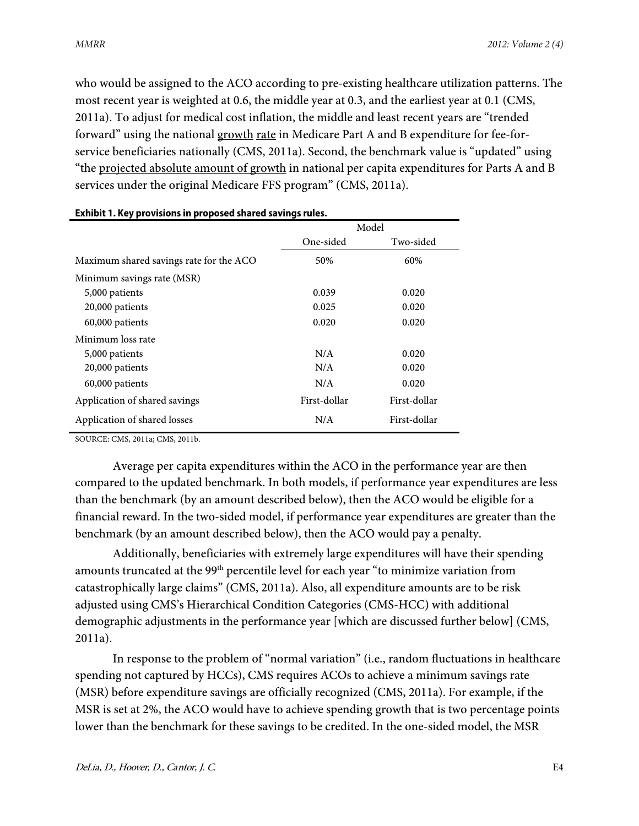who would be assigned to the ACO according to pre-existing healthcare utilization patterns. The most recent year is weighted at 0.6, the middle year at 0.3, and the earliest year at 0.1 (CMS, 2011a). To adjust for medical cost inflation, the middle and least recent years are "trended forward" using the national growth rate in Medicare Part A and B expenditure for fee-forservice beneficiaries nationally (CMS, 2011a). Second, the benchmark value is "updated" using "the projected absolute amount of growth in national per capita expenditures for Parts A and B services under the original Medicare FFS program" (CMS, 2011a).

|                                         |              | Model        |
|-----------------------------------------|--------------|--------------|
|                                         | One-sided    | Two-sided    |
| Maximum shared savings rate for the ACO | 50%          | 60%          |
| Minimum savings rate (MSR)              |              |              |
| 5,000 patients                          | 0.039        | 0.020        |
| 20,000 patients                         | 0.025        | 0.020        |
| 60,000 patients                         | 0.020        | 0.020        |
| Minimum loss rate                       |              |              |
| 5,000 patients                          | N/A          | 0.020        |
| 20,000 patients                         | N/A          | 0.020        |
| 60,000 patients                         | N/A          | 0.020        |
| Application of shared savings           | First-dollar | First-dollar |
| Application of shared losses            | N/A          | First-dollar |

#### **Exhibit 1. Key provisions in proposed shared savings rules.**

SOURCE: CMS, 2011a; CMS, 2011b.

Average per capita expenditures within the ACO in the performance year are then compared to the updated benchmark. In both models, if performance year expenditures are less than the benchmark (by an amount described below), then the ACO would be eligible for a financial reward. In the two-sided model, if performance year expenditures are greater than the benchmark (by an amount described below), then the ACO would pay a penalty.

Additionally, beneficiaries with extremely large expenditures will have their spending amounts truncated at the 99<sup>th</sup> percentile level for each year "to minimize variation from catastrophically large claims" (CMS, 2011a). Also, all expenditure amounts are to be risk adjusted using CMS's Hierarchical Condition Categories (CMS-HCC) with additional demographic adjustments in the performance year [which are discussed further below] (CMS, 2011a).

In response to the problem of "normal variation" (i.e., random fluctuations in healthcare spending not captured by HCCs), CMS requires ACOs to achieve a minimum savings rate (MSR) before expenditure savings are officially recognized (CMS, 2011a). For example, if the MSR is set at 2%, the ACO would have to achieve spending growth that is two percentage points lower than the benchmark for these savings to be credited. In the one-sided model, the MSR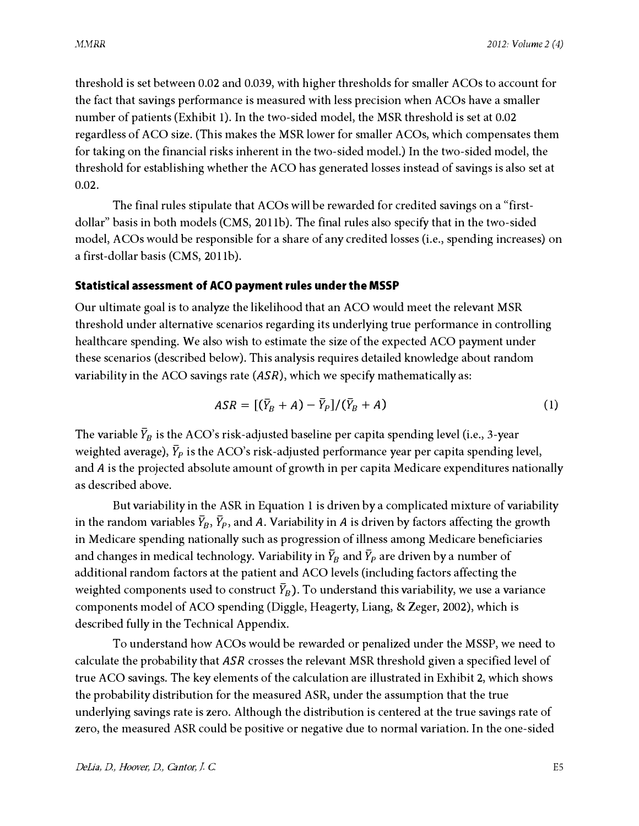threshold is set between 0.02 and 0.039, with higher thresholds for smaller ACOs to account for the fact that savings performance is measured with less precision when ACOs have a smaller number of patients (Exhibit 1). In the two-sided model, the MSR threshold is set at 0.02 regardless of ACO size. (This makes the MSR lower for smaller A COs, which compensates them for taking on the financial risks inherent in the two-sided model.) In the two-sided model, the threshold for establishing whether the ACO has generated losses instead of savings is also set at 0.02.

The final rules stipulate that ACOs will be rewarded for credited savings on a "firstdollar" basis in both models (CMS, 2011b). The final rules also specify that in the two-sided model, A COs would be responsible for a share of any credited losses (i.e., spending increases) on a first-dollar basis (CMS, 20llb).

#### Statistical assessment of ACO payment rules under the MSSP

Our ultimate goal is to analyze the likelihood that an ACO would meet the relevant MSR threshold under alternative scenarios regarding its underlying true performance in controlling healthcare spending. We also wish to estimate the size of the expected ACO payment under these scenarios (described below). This analysis requires detailed knowledge about random variability in the ACO savings rate  $(ASR)$ , which we specify mathematically as:

$$
ASR = [(\bar{Y}_B + A) - \bar{Y}_P]/(\bar{Y}_B + A)
$$
\n(1)

The variable  $\bar{Y}_B$  is the ACO's risk-adjusted baseline per capita spending level (i.e., 3-year weighted average),  $\bar{Y}_P$  is the ACO's risk-adjusted performance year per capita spending level, and A is the projected absolute amount of growth in per capita Medicare expenditures nationally as described above.

But variability in the ASR in Equation 1 is driven by a complicated mixture of variability in the random variables  $\bar{Y}_B$ ,  $\bar{Y}_P$ , and A. Variability in A is driven by factors affecting the growth in Medicare spending nationally such as progression of illness among Medicare beneficiaries and changes in medical technology. Variability in  $\bar{Y}_B$  and  $\bar{Y}_P$  are driven by a number of additional random factors at the patient and ACO levels (including factors affecting the weighted components used to construct  $\bar{Y}_B$ ). To understand this variability, we use a variance components model of ACO spending (Diggle, Heagerty, Liang, & Zeger, 2002), which is described fully in the Technical Appendix.

To understand how A COs would be rewarded or penalized under the MSSP, we need to calculate the probability that ASR crosses the relevant MSR threshold given a specified level of true ACO savings. The key elements of the calculation are illustrated in Exhibit 2, which shows the probability distribution for the measured ASR, under the assumption that the true underlying savings rate is zero. Although the distribution is centered at the true savings rate of zero, the measured ASR could be positive or negative due to normal variation. In the one-sided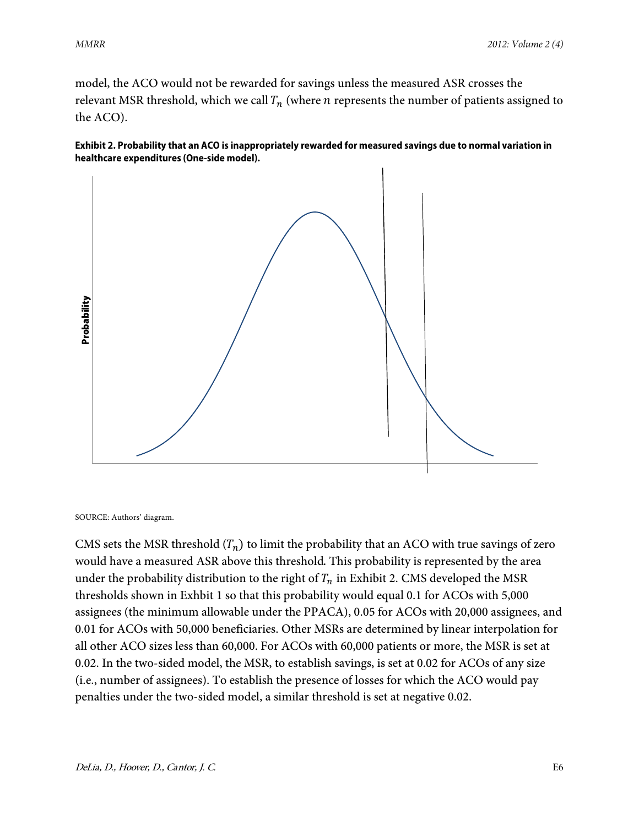model, the ACO would not be rewarded for savings unless the measured ASR crosses the relevant MSR threshold, which we call  $T_n$  (where *n* represents the number of patients assigned to the ACO).





SOURCE: Authors' diagram.

CMS sets the MSR threshold  $(T_n)$  to limit the probability that an ACO with true savings of zero would have a measured ASR above this threshold. This probability is represented by the area under the probability distribution to the right of  $T_n$  in Exhibit 2. CMS developed the MSR thresholds shown in Exhbit 1 so that this probability would equal 0.1 for ACOs with 5,000 assignees (the minimum allowable under the PPACA), 0.05 for ACOs with 20,000 assignees, and 0.01 for ACOs with 50,000 beneficiaries. Other MSRs are determined by linear interpolation for all other ACO sizes less than 60,000. For ACOs with 60,000 patients or more, the MSR is set at 0.02. In the two-sided model, the MSR, to establish savings, is set at 0.02 for ACOs of any size (i.e., number of assignees). To establish the presence of losses for which the ACO would pay penalties under the two-sided model, a similar threshold is set at negative 0.02.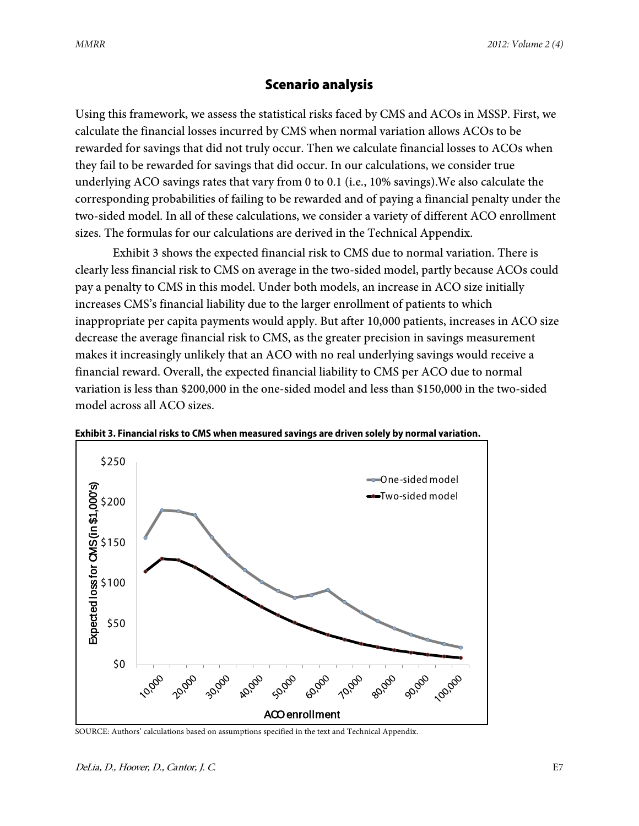## Scenario analysis

Using this framework, we assess the statistical risks faced by CMS and ACOs in MSSP. First, we calculate the financial losses incurred by CMS when normal variation allows ACOs to be rewarded for savings that did not truly occur. Then we calculate financial losses to ACOs when they fail to be rewarded for savings that did occur. In our calculations, we consider true underlying ACO savings rates that vary from 0 to 0.1 (i.e., 10% savings).We also calculate the corresponding probabilities of failing to be rewarded and of paying a financial penalty under the two-sided model. In all of these calculations, we consider a variety of different ACO enrollment sizes. The formulas for our calculations are derived in the Technical Appendix.

Exhibit 3 shows the expected financial risk to CMS due to normal variation. There is clearly less financial risk to CMS on average in the two-sided model, partly because ACOs could pay a penalty to CMS in this model. Under both models, an increase in ACO size initially increases CMS's financial liability due to the larger enrollment of patients to which inappropriate per capita payments would apply. But after 10,000 patients, increases in ACO size decrease the average financial risk to CMS, as the greater precision in savings measurement makes it increasingly unlikely that an ACO with no real underlying savings would receive a financial reward. Overall, the expected financial liability to CMS per ACO due to normal variation is less than \$200,000 in the one-sided model and less than \$150,000 in the two-sided model across all ACO sizes.



**Exhibit 3. Financial risks to CMS when measured savings are driven solely by normal variation.**

SOURCE: Authors' calculations based on assumptions specified in the text and Technical Appendix.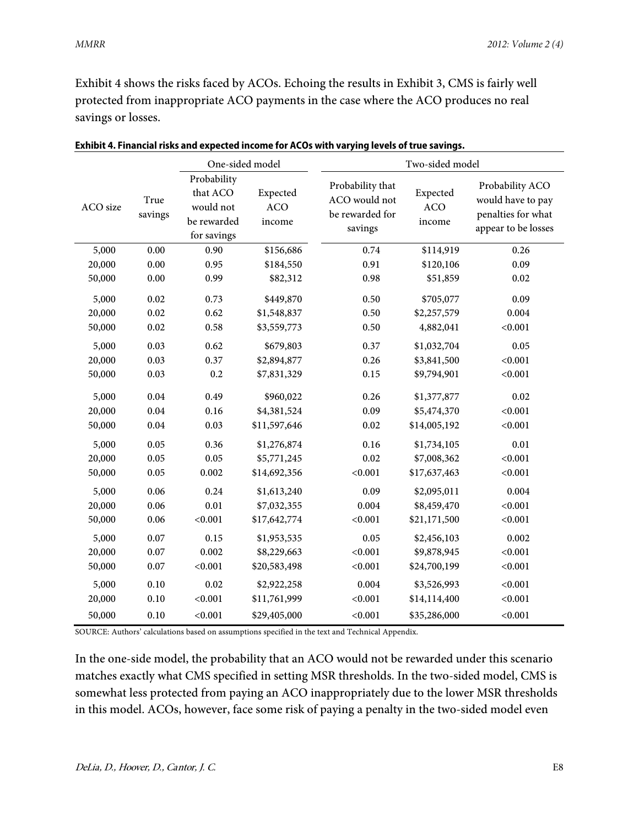Exhibit 4 shows the risks faced by ACOs. Echoing the results in Exhibit 3, CMS is fairly well protected from inappropriate ACO payments in the case where the ACO produces no real savings or losses.

|          | One-sided model |                                                                    | Two-sided model                  |                                                                 |                                  |                                                                                   |
|----------|-----------------|--------------------------------------------------------------------|----------------------------------|-----------------------------------------------------------------|----------------------------------|-----------------------------------------------------------------------------------|
| ACO size | True<br>savings | Probability<br>that ACO<br>would not<br>be rewarded<br>for savings | Expected<br><b>ACO</b><br>income | Probability that<br>ACO would not<br>be rewarded for<br>savings | Expected<br><b>ACO</b><br>income | Probability ACO<br>would have to pay<br>penalties for what<br>appear to be losses |
| 5,000    | 0.00            | 0.90                                                               | \$156,686                        | 0.74                                                            | \$114,919                        | 0.26                                                                              |
| 20,000   | 0.00            | 0.95                                                               | \$184,550                        | 0.91                                                            | \$120,106                        | 0.09                                                                              |
| 50,000   | 0.00            | 0.99                                                               | \$82,312                         | 0.98                                                            | \$51,859                         | 0.02                                                                              |
| 5,000    | 0.02            | 0.73                                                               | \$449,870                        | 0.50                                                            | \$705,077                        | 0.09                                                                              |
| 20,000   | 0.02            | 0.62                                                               | \$1,548,837                      | 0.50                                                            | \$2,257,579                      | 0.004                                                                             |
| 50,000   | 0.02            | 0.58                                                               | \$3,559,773                      | 0.50                                                            | 4,882,041                        | < 0.001                                                                           |
| 5,000    | 0.03            | 0.62                                                               | \$679,803                        | 0.37                                                            | \$1,032,704                      | 0.05                                                                              |
| 20,000   | 0.03            | 0.37                                                               | \$2,894,877                      | 0.26                                                            | \$3,841,500                      | < 0.001                                                                           |
| 50,000   | 0.03            | 0.2                                                                | \$7,831,329                      | 0.15                                                            | \$9,794,901                      | < 0.001                                                                           |
| 5,000    | 0.04            | 0.49                                                               | \$960,022                        | 0.26                                                            | \$1,377,877                      | 0.02                                                                              |
| 20,000   | 0.04            | 0.16                                                               | \$4,381,524                      | 0.09                                                            | \$5,474,370                      | < 0.001                                                                           |
| 50,000   | 0.04            | 0.03                                                               | \$11,597,646                     | 0.02                                                            | \$14,005,192                     | < 0.001                                                                           |
| 5,000    | 0.05            | 0.36                                                               | \$1,276,874                      | 0.16                                                            | \$1,734,105                      | 0.01                                                                              |
| 20,000   | 0.05            | 0.05                                                               | \$5,771,245                      | 0.02                                                            | \$7,008,362                      | < 0.001                                                                           |
| 50,000   | 0.05            | 0.002                                                              | \$14,692,356                     | < 0.001                                                         | \$17,637,463                     | < 0.001                                                                           |
| 5,000    | 0.06            | 0.24                                                               | \$1,613,240                      | 0.09                                                            | \$2,095,011                      | 0.004                                                                             |
| 20,000   | 0.06            | 0.01                                                               | \$7,032,355                      | 0.004                                                           | \$8,459,470                      | < 0.001                                                                           |
| 50,000   | 0.06            | < 0.001                                                            | \$17,642,774                     | < 0.001                                                         | \$21,171,500                     | < 0.001                                                                           |
| 5,000    | 0.07            | 0.15                                                               | \$1,953,535                      | 0.05                                                            | \$2,456,103                      | 0.002                                                                             |
| 20,000   | 0.07            | 0.002                                                              | \$8,229,663                      | < 0.001                                                         | \$9,878,945                      | < 0.001                                                                           |
| 50,000   | 0.07            | < 0.001                                                            | \$20,583,498                     | < 0.001                                                         | \$24,700,199                     | < 0.001                                                                           |
| 5,000    | 0.10            | 0.02                                                               | \$2,922,258                      | 0.004                                                           | \$3,526,993                      | < 0.001                                                                           |
| 20,000   | 0.10            | < 0.001                                                            | \$11,761,999                     | < 0.001                                                         | \$14,114,400                     | < 0.001                                                                           |
| 50,000   | 0.10            | < 0.001                                                            | \$29,405,000                     | < 0.001                                                         | \$35,286,000                     | < 0.001                                                                           |

**Exhibit 4. Financial risks and expected income for ACOs with varying levels of true savings.**

SOURCE: Authors' calculations based on assumptions specified in the text and Technical Appendix.

In the one-side model, the probability that an ACO would not be rewarded under this scenario matches exactly what CMS specified in setting MSR thresholds. In the two-sided model, CMS is somewhat less protected from paying an ACO inappropriately due to the lower MSR thresholds in this model. ACOs, however, face some risk of paying a penalty in the two-sided model even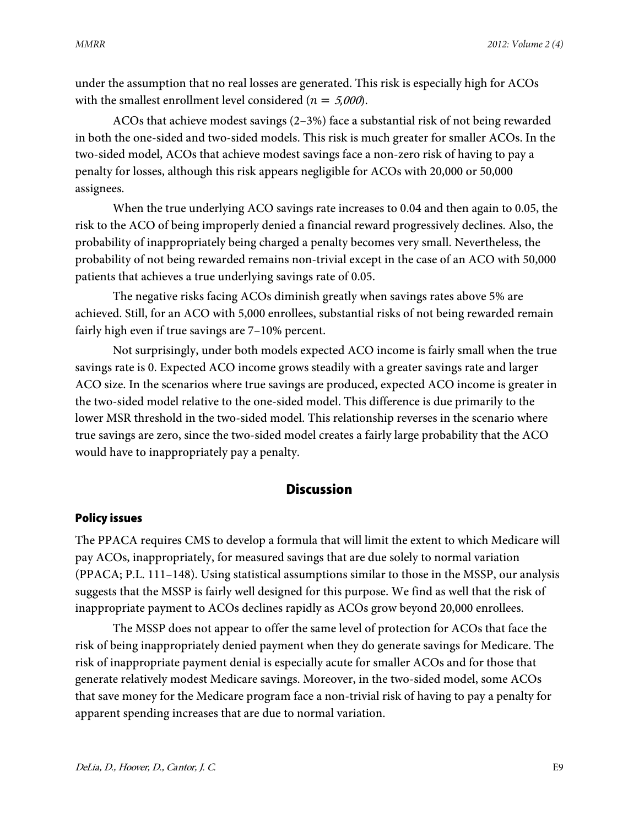under the assumption that no real losses are generated. This risk is especially high for ACOs with the smallest enrollment level considered ( $n = 5,000$ ).

ACOs that achieve modest savings (2–3%) face a substantial risk of not being rewarded in both the one-sided and two-sided models. This risk is much greater for smaller ACOs. In the two-sided model, ACOs that achieve modest savings face a non-zero risk of having to pay a penalty for losses, although this risk appears negligible for ACOs with 20,000 or 50,000 assignees.

When the true underlying ACO savings rate increases to 0.04 and then again to 0.05, the risk to the ACO of being improperly denied a financial reward progressively declines. Also, the probability of inappropriately being charged a penalty becomes very small. Nevertheless, the probability of not being rewarded remains non-trivial except in the case of an ACO with 50,000 patients that achieves a true underlying savings rate of 0.05.

The negative risks facing ACOs diminish greatly when savings rates above 5% are achieved. Still, for an ACO with 5,000 enrollees, substantial risks of not being rewarded remain fairly high even if true savings are 7–10% percent.

Not surprisingly, under both models expected ACO income is fairly small when the true savings rate is 0. Expected ACO income grows steadily with a greater savings rate and larger ACO size. In the scenarios where true savings are produced, expected ACO income is greater in the two-sided model relative to the one-sided model. This difference is due primarily to the lower MSR threshold in the two-sided model. This relationship reverses in the scenario where true savings are zero, since the two-sided model creates a fairly large probability that the ACO would have to inappropriately pay a penalty.

## **Discussion**

#### Policy issues

The PPACA requires CMS to develop a formula that will limit the extent to which Medicare will pay ACOs, inappropriately, for measured savings that are due solely to normal variation (PPACA; P.L. 111–148). Using statistical assumptions similar to those in the MSSP, our analysis suggests that the MSSP is fairly well designed for this purpose. We find as well that the risk of inappropriate payment to ACOs declines rapidly as ACOs grow beyond 20,000 enrollees.

The MSSP does not appear to offer the same level of protection for ACOs that face the risk of being inappropriately denied payment when they do generate savings for Medicare. The risk of inappropriate payment denial is especially acute for smaller ACOs and for those that generate relatively modest Medicare savings. Moreover, in the two-sided model, some ACOs that save money for the Medicare program face a non-trivial risk of having to pay a penalty for apparent spending increases that are due to normal variation.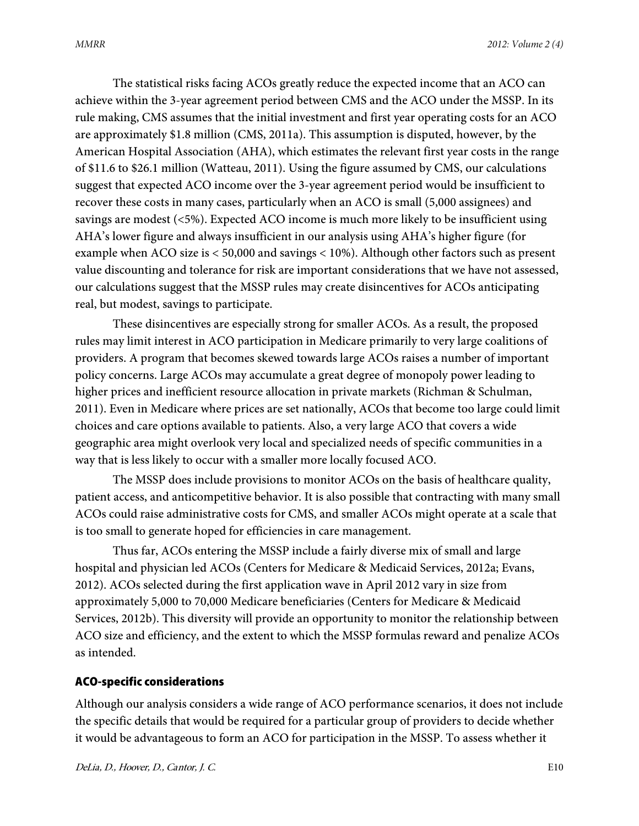The statistical risks facing ACOs greatly reduce the expected income that an ACO can achieve within the 3-year agreement period between CMS and the ACO under the MSSP. In its rule making, CMS assumes that the initial investment and first year operating costs for an ACO are approximately \$1.8 million (CMS, 2011a). This assumption is disputed, however, by the American Hospital Association (AHA), which estimates the relevant first year costs in the range of \$11.6 to \$26.1 million (Watteau, 2011). Using the figure assumed by CMS, our calculations suggest that expected ACO income over the 3-year agreement period would be insufficient to recover these costs in many cases, particularly when an ACO is small (5,000 assignees) and savings are modest (<5%). Expected ACO income is much more likely to be insufficient using AHA's lower figure and always insufficient in our analysis using AHA's higher figure (for example when ACO size is < 50,000 and savings < 10%). Although other factors such as present value discounting and tolerance for risk are important considerations that we have not assessed, our calculations suggest that the MSSP rules may create disincentives for ACOs anticipating real, but modest, savings to participate.

These disincentives are especially strong for smaller ACOs. As a result, the proposed rules may limit interest in ACO participation in Medicare primarily to very large coalitions of providers. A program that becomes skewed towards large ACOs raises a number of important policy concerns. Large ACOs may accumulate a great degree of monopoly power leading to higher prices and inefficient resource allocation in private markets (Richman & Schulman, 2011). Even in Medicare where prices are set nationally, ACOs that become too large could limit choices and care options available to patients. Also, a very large ACO that covers a wide geographic area might overlook very local and specialized needs of specific communities in a way that is less likely to occur with a smaller more locally focused ACO.

The MSSP does include provisions to monitor ACOs on the basis of healthcare quality, patient access, and anticompetitive behavior. It is also possible that contracting with many small ACOs could raise administrative costs for CMS, and smaller ACOs might operate at a scale that is too small to generate hoped for efficiencies in care management.

Thus far, ACOs entering the MSSP include a fairly diverse mix of small and large hospital and physician led ACOs (Centers for Medicare & Medicaid Services, 2012a; Evans, 2012). ACOs selected during the first application wave in April 2012 vary in size from approximately 5,000 to 70,000 Medicare beneficiaries (Centers for Medicare & Medicaid Services, 2012b). This diversity will provide an opportunity to monitor the relationship between ACO size and efficiency, and the extent to which the MSSP formulas reward and penalize ACOs as intended.

#### ACO-specific considerations

Although our analysis considers a wide range of ACO performance scenarios, it does not include the specific details that would be required for a particular group of providers to decide whether it would be advantageous to form an ACO for participation in the MSSP. To assess whether it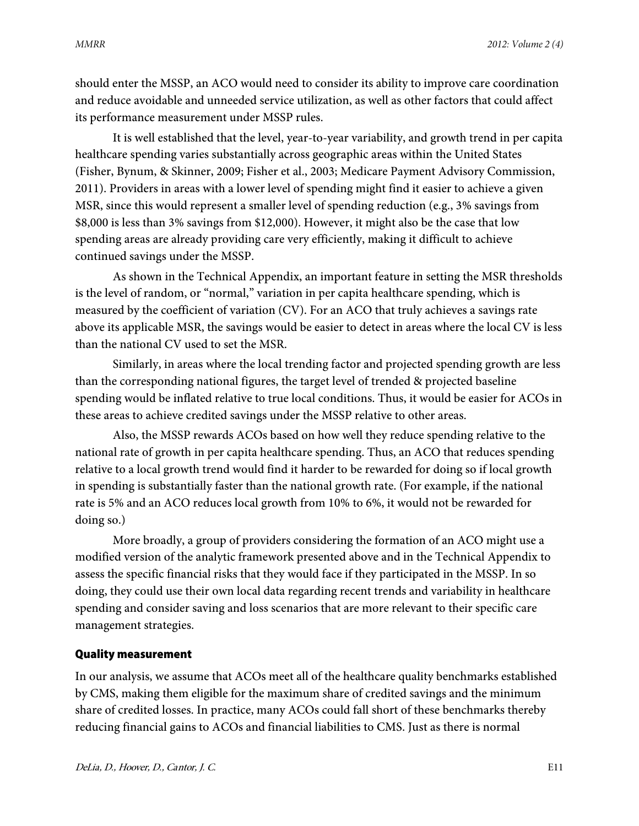should enter the MSSP, an ACO would need to consider its ability to improve care coordination and reduce avoidable and unneeded service utilization, as well as other factors that could affect its performance measurement under MSSP rules.

It is well established that the level, year-to-year variability, and growth trend in per capita healthcare spending varies substantially across geographic areas within the United States (Fisher, Bynum, & Skinner, 2009; Fisher et al., 2003; Medicare Payment Advisory Commission, 2011). Providers in areas with a lower level of spending might find it easier to achieve a given MSR, since this would represent a smaller level of spending reduction (e.g., 3% savings from \$8,000 is less than 3% savings from \$12,000). However, it might also be the case that low spending areas are already providing care very efficiently, making it difficult to achieve continued savings under the MSSP.

As shown in the Technical Appendix, an important feature in setting the MSR thresholds is the level of random, or "normal," variation in per capita healthcare spending, which is measured by the coefficient of variation (CV). For an ACO that truly achieves a savings rate above its applicable MSR, the savings would be easier to detect in areas where the local CV is less than the national CV used to set the MSR.

Similarly, in areas where the local trending factor and projected spending growth are less than the corresponding national figures, the target level of trended & projected baseline spending would be inflated relative to true local conditions. Thus, it would be easier for ACOs in these areas to achieve credited savings under the MSSP relative to other areas.

Also, the MSSP rewards ACOs based on how well they reduce spending relative to the national rate of growth in per capita healthcare spending. Thus, an ACO that reduces spending relative to a local growth trend would find it harder to be rewarded for doing so if local growth in spending is substantially faster than the national growth rate. (For example, if the national rate is 5% and an ACO reduces local growth from 10% to 6%, it would not be rewarded for doing so.)

More broadly, a group of providers considering the formation of an ACO might use a modified version of the analytic framework presented above and in the Technical Appendix to assess the specific financial risks that they would face if they participated in the MSSP. In so doing, they could use their own local data regarding recent trends and variability in healthcare spending and consider saving and loss scenarios that are more relevant to their specific care management strategies.

### Quality measurement

In our analysis, we assume that ACOs meet all of the healthcare quality benchmarks established by CMS, making them eligible for the maximum share of credited savings and the minimum share of credited losses. In practice, many ACOs could fall short of these benchmarks thereby reducing financial gains to ACOs and financial liabilities to CMS. Just as there is normal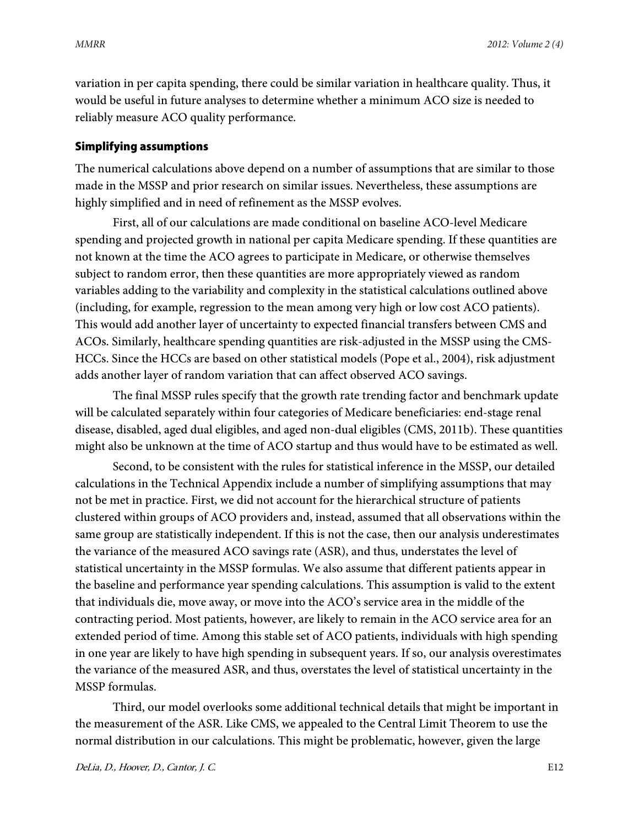variation in per capita spending, there could be similar variation in healthcare quality. Thus, it would be useful in future analyses to determine whether a minimum ACO size is needed to reliably measure ACO quality performance.

#### Simplifying assumptions

The numerical calculations above depend on a number of assumptions that are similar to those made in the MSSP and prior research on similar issues. Nevertheless, these assumptions are highly simplified and in need of refinement as the MSSP evolves.

First, all of our calculations are made conditional on baseline ACO-level Medicare spending and projected growth in national per capita Medicare spending. If these quantities are not known at the time the ACO agrees to participate in Medicare, or otherwise themselves subject to random error, then these quantities are more appropriately viewed as random variables adding to the variability and complexity in the statistical calculations outlined above (including, for example, regression to the mean among very high or low cost ACO patients). This would add another layer of uncertainty to expected financial transfers between CMS and ACOs. Similarly, healthcare spending quantities are risk-adjusted in the MSSP using the CMS-HCCs. Since the HCCs are based on other statistical models (Pope et al., 2004), risk adjustment adds another layer of random variation that can affect observed ACO savings.

The final MSSP rules specify that the growth rate trending factor and benchmark update will be calculated separately within four categories of Medicare beneficiaries: end-stage renal disease, disabled, aged dual eligibles, and aged non-dual eligibles (CMS, 2011b). These quantities might also be unknown at the time of ACO startup and thus would have to be estimated as well.

Second, to be consistent with the rules for statistical inference in the MSSP, our detailed calculations in the Technical Appendix include a number of simplifying assumptions that may not be met in practice. First, we did not account for the hierarchical structure of patients clustered within groups of ACO providers and, instead, assumed that all observations within the same group are statistically independent. If this is not the case, then our analysis underestimates the variance of the measured ACO savings rate (ASR), and thus, understates the level of statistical uncertainty in the MSSP formulas. We also assume that different patients appear in the baseline and performance year spending calculations. This assumption is valid to the extent that individuals die, move away, or move into the ACO's service area in the middle of the contracting period. Most patients, however, are likely to remain in the ACO service area for an extended period of time. Among this stable set of ACO patients, individuals with high spending in one year are likely to have high spending in subsequent years. If so, our analysis overestimates the variance of the measured ASR, and thus, overstates the level of statistical uncertainty in the MSSP formulas.

Third, our model overlooks some additional technical details that might be important in the measurement of the ASR. Like CMS, we appealed to the Central Limit Theorem to use the normal distribution in our calculations. This might be problematic, however, given the large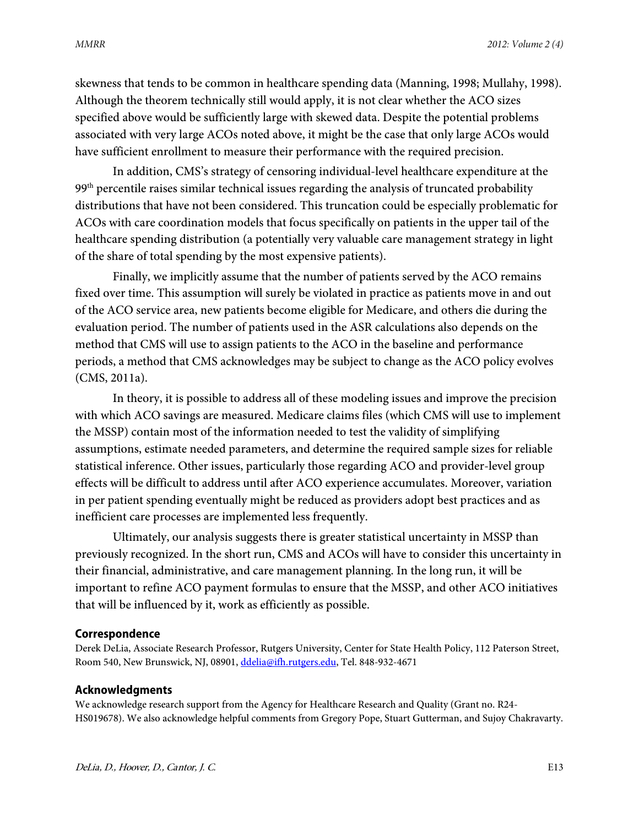skewness that tends to be common in healthcare spending data (Manning, 1998; Mullahy, 1998). Although the theorem technically still would apply, it is not clear whether the ACO sizes specified above would be sufficiently large with skewed data. Despite the potential problems associated with very large ACOs noted above, it might be the case that only large ACOs would have sufficient enrollment to measure their performance with the required precision.

In addition, CMS's strategy of censoring individual-level healthcare expenditure at the  $99<sup>th</sup>$  percentile raises similar technical issues regarding the analysis of truncated probability distributions that have not been considered. This truncation could be especially problematic for ACOs with care coordination models that focus specifically on patients in the upper tail of the healthcare spending distribution (a potentially very valuable care management strategy in light of the share of total spending by the most expensive patients).

Finally, we implicitly assume that the number of patients served by the ACO remains fixed over time. This assumption will surely be violated in practice as patients move in and out of the ACO service area, new patients become eligible for Medicare, and others die during the evaluation period. The number of patients used in the ASR calculations also depends on the method that CMS will use to assign patients to the ACO in the baseline and performance periods, a method that CMS acknowledges may be subject to change as the ACO policy evolves (CMS, 2011a).

In theory, it is possible to address all of these modeling issues and improve the precision with which ACO savings are measured. Medicare claims files (which CMS will use to implement the MSSP) contain most of the information needed to test the validity of simplifying assumptions, estimate needed parameters, and determine the required sample sizes for reliable statistical inference. Other issues, particularly those regarding ACO and provider-level group effects will be difficult to address until after ACO experience accumulates. Moreover, variation in per patient spending eventually might be reduced as providers adopt best practices and as inefficient care processes are implemented less frequently.

Ultimately, our analysis suggests there is greater statistical uncertainty in MSSP than previously recognized. In the short run, CMS and ACOs will have to consider this uncertainty in their financial, administrative, and care management planning. In the long run, it will be important to refine ACO payment formulas to ensure that the MSSP, and other ACO initiatives that will be influenced by it, work as efficiently as possible.

#### **Correspondence**

Derek DeLia, Associate Research Professor, Rutgers University, Center for State Health Policy, 112 Paterson Street, Room 540, New Brunswick, NJ, 08901[, ddelia@ifh.rutgers.edu,](mailto:ddelia@ifh.rutgers.edu) Tel. 848-932-4671

#### **Acknowledgments**

We acknowledge research support from the Agency for Healthcare Research and Quality (Grant no. R24- HS019678). We also acknowledge helpful comments from Gregory Pope, Stuart Gutterman, and Sujoy Chakravarty.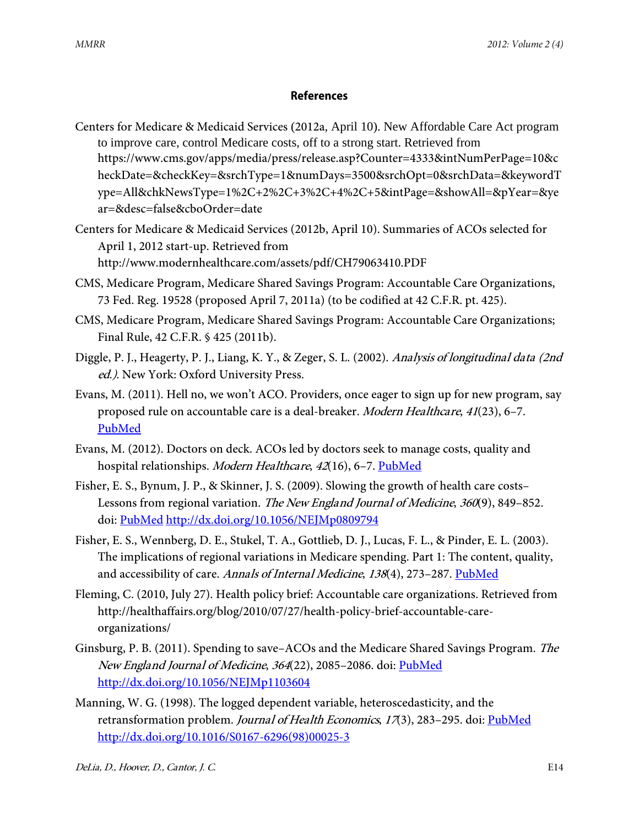## **References**

- Centers for Medicare & Medicaid Services (2012a, April 10). New Affordable Care Act program to improve care, control Medicare costs, off to a strong start. Retrieved from https://www.cms.gov/apps/media/press/release.asp?Counter=4333&intNumPerPage=10&c heckDate=&checkKey=&srchType=1&numDays=3500&srchOpt=0&srchData=&keywordT ype=All&chkNewsType=1%2C+2%2C+3%2C+4%2C+5&intPage=&showAll=&pYear=&ye ar=&desc=false&cboOrder=date
- Centers for Medicare & Medicaid Services (2012b, April 10). Summaries of ACOs selected for April 1, 2012 start-up. Retrieved from http://www.modernhealthcare.com/assets/pdf/CH79063410.PDF
- CMS, Medicare Program, Medicare Shared Savings Program: Accountable Care Organizations, 73 Fed. Reg. 19528 (proposed April 7, 2011a) (to be codified at 42 C.F.R. pt. 425).
- CMS, Medicare Program, Medicare Shared Savings Program: Accountable Care Organizations; Final Rule, 42 C.F.R. § 425 (2011b).
- Diggle, P. J., Heagerty, P. J., Liang, K. Y., & Zeger, S. L. (2002). Analysis of longitudinal data (2nd ed.). New York: Oxford University Press.
- Evans, M. (2011). Hell no, we won't ACO. Providers, once eager to sign up for new program, say proposed rule on accountable care is a deal-breaker. Modern Healthcare, 41(23), 6–7[.](http://www.ncbi.nlm.nih.gov/entrez/query.fcgi?cmd=Retrieve&db=PubMed&list_uids=21714189&dopt=Abstract) [PubMed](http://www.ncbi.nlm.nih.gov/entrez/query.fcgi?cmd=Retrieve&db=PubMed&list_uids=21714189&dopt=Abstract)
- Evans, M. (2012). Doctors on deck. ACOs led by doctors seek to manage costs, quality and hospital relationships. Modern Healthcare, 42(16), 6-7[. PubMed](http://www.ncbi.nlm.nih.gov/entrez/query.fcgi?cmd=Retrieve&db=PubMed&list_uids=22570987&dopt=Abstract)
- Fisher, E. S., Bynum, J. P., & Skinner, J. S. (2009). Slowing the growth of health care costs– Lessons from regional variation. The New England Journal of Medicine, 360(9), 849-852. doi: [PubMed](http://www.ncbi.nlm.nih.gov/entrez/query.fcgi?cmd=Retrieve&db=PubMed&list_uids=19246356&dopt=Abstract) <http://dx.doi.org/10.1056/NEJMp0809794>
- Fisher, E. S., Wennberg, D. E., Stukel, T. A., Gottlieb, D. J., Lucas, F. L., & Pinder, E. L. (2003). The implications of regional variations in Medicare spending. Part 1: The content, quality, and accessibility of care. Annals of Internal Medicine, 138(4), 273-287. [PubMed](http://www.ncbi.nlm.nih.gov/entrez/query.fcgi?cmd=Retrieve&db=PubMed&list_uids=12585825&dopt=Abstract)
- Fleming, C. (2010, July 27). Health policy brief: Accountable care organizations. Retrieved from http://healthaffairs.org/blog/2010/07/27/health-policy-brief-accountable-careorganizations/
- Ginsburg, P. B. (2011). Spending to save–ACOs and the Medicare Shared Savings Program. The New England Journal of Medicine, 364(22), 2085-2086. doi[: PubMed](http://www.ncbi.nlm.nih.gov/entrez/query.fcgi?cmd=Retrieve&db=PubMed&list_uids=21612463&dopt=Abstract) <http://dx.doi.org/10.1056/NEJMp1103604>
- Manning, W. G. (1998). The logged dependent variable, heteroscedasticity, and the retransformation problem. Journal of Health Economics, 17(3), 283-295. doi: [PubMed](http://www.ncbi.nlm.nih.gov/entrez/query.fcgi?cmd=Retrieve&db=PubMed&list_uids=10180919&dopt=Abstract) [http://dx.doi.org/10.1016/S0167-6296\(98\)00025-3](http://dx.doi.org/10.1016/S0167-6296(98)00025-3)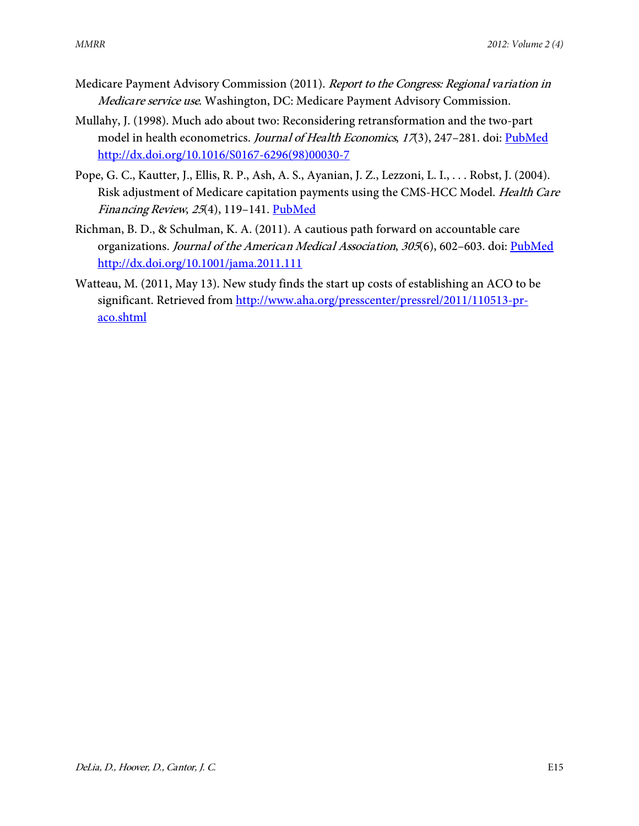- Medicare Payment Advisory Commission (2011). Report to the Congress: Regional variation in Medicare service use. Washington, DC: Medicare Payment Advisory Commission.
- Mullahy, J. (1998). Much ado about two: Reconsidering retransformation and the two-part model in health econometrics. Journal of Health Economics, 17(3), 247-281. doi: [PubMed](http://www.ncbi.nlm.nih.gov/entrez/query.fcgi?cmd=Retrieve&db=PubMed&list_uids=10180918&dopt=Abstract) [http://dx.doi.org/10.1016/S0167-6296\(98\)00030-7](http://dx.doi.org/10.1016/S0167-6296(98)00030-7)
- Pope, G. C., Kautter, J., Ellis, R. P., Ash, A. S., Ayanian, J. Z., Lezzoni, L. I., . . . Robst, J. (2004). Risk adjustment of Medicare capitation payments using the CMS-HCC Model. Health Care Financing Review, 25(4), 119-141[. PubMed](http://www.ncbi.nlm.nih.gov/entrez/query.fcgi?cmd=Retrieve&db=PubMed&list_uids=15493448&dopt=Abstract)
- Richman, B. D., & Schulman, K. A. (2011). A cautious path forward on accountable care organizations. Journal of the American Medical Association, 305(6), 602-603. doi: [PubMed](http://www.ncbi.nlm.nih.gov/entrez/query.fcgi?cmd=Retrieve&db=PubMed&list_uids=21304085&dopt=Abstract) <http://dx.doi.org/10.1001/jama.2011.111>
- Watteau, M. (2011, May 13). New study finds the start up costs of establishing an ACO to be significant. Retrieved from [http://www.aha.org/presscenter/pressrel/2011/110513-pr](http://www.aha.org/presscenter/pressrel/2011/110513-pr-aco.shtml)[aco.shtml](http://www.aha.org/presscenter/pressrel/2011/110513-pr-aco.shtml)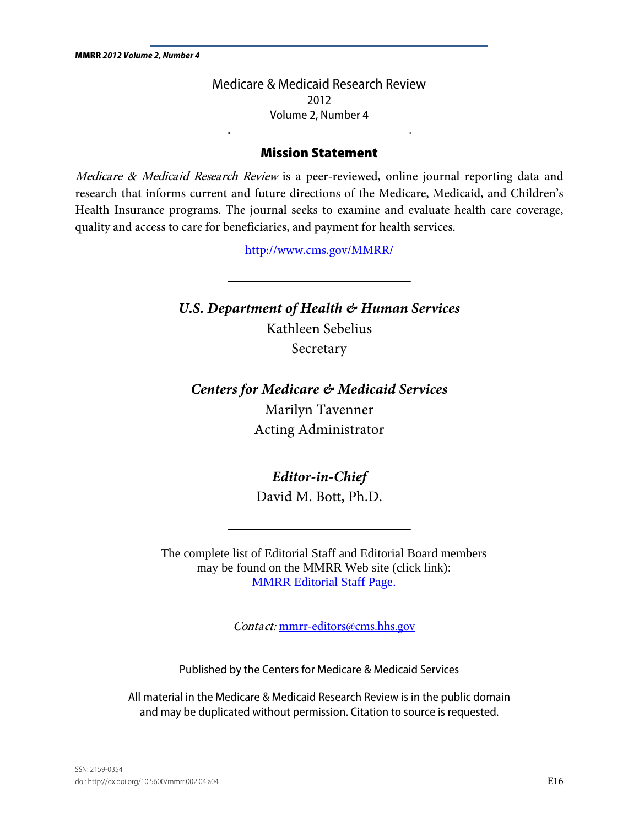Medicare & Medicaid Research Review 2012 Volume 2, Number 4

## Mission Statement

Medicare & Medicaid Research Review is a peer-reviewed, online journal reporting data and research that informs current and future directions of the Medicare, Medicaid, and Children's Health Insurance programs. The journal seeks to examine and evaluate health care coverage, quality and access to care for beneficiaries, and payment for health services.

http://www.cms.gov/MMRR/

*U.S. Department of Health & Human Services* Kathleen Sebelius Secretary

*Centers for Medicare & Medicaid Services* Marilyn Tavenner Acting Administrator

*Editor-in-Chief* 

David M. Bott, Ph.D.

The complete list of Editorial Staff and Editorial Board members may be found on the MMRR Web site (click link): [MMRR Editorial Staff Page.](http://www.cms.gov/Research-Statistics-Data-and-Systems/Research/MMRR/MMRREditorialStaff.html) 

Contact: [mmrr-editors@cms.hhs.gov](mailto:mmrr-editors@cms.hhs.gov)

Published by the Centers for Medicare & Medicaid Services

All material in the Medicare & Medicaid Research Review is in the public domain and may be duplicated without permission. Citation to source is requested.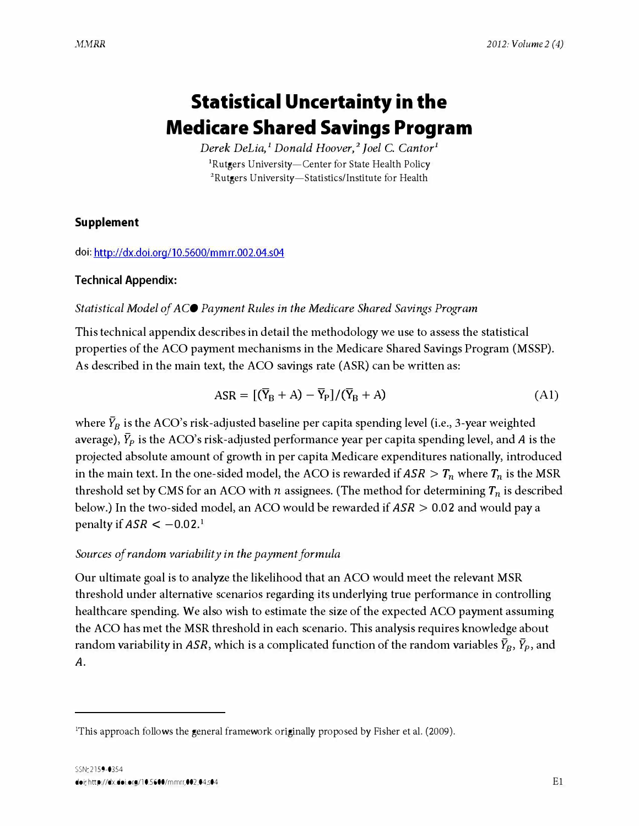# Statistical Uncertainty in the Medicare Shared Savings Program

Derek DeLia,<sup>1</sup> Donald Hoover,<sup>2</sup> Joel C. Cantor<sup>1</sup> <sup>1</sup>Rutgers University-Center for State Health Policy <sup>2</sup>Rutgers University-Statistics/Institute for Health

### Supplement

doi:<http://dx.doi.org/10.5600/mmrr.002.04.s04>

### Technical Appendix:

#### Statistical Model of ACO Payment Rules in the Medicare Shared Savings Program

This technical appendix describes in detail the methodology we use to assess the statistical properties of the ACO payment mechanisms in the Medicare Shared Savings Program (MSSP). As described in the main text, the ACO savings rate (ASR) can be written as:

$$
ASR = [(\overline{Y}_B + A) - \overline{Y}_P]/(\overline{Y}_B + A)
$$
\n(A1)

where  $\bar{Y}_B$  is the ACO's risk-adjusted baseline per capita spending level (i.e., 3-year weighted average),  $\bar{Y}_P$  is the ACO's risk-adjusted performance year per capita spending level, and A is the projected absolute amount of growth in per capita Medicare expenditures nationally, introduced in the main text. In the one-sided model, the ACO is rewarded if  $ASR > T_n$  where  $T_n$  is the MSR threshold set by CMS for an ACO with *n* assignees. (The method for determining  $T_n$  is described below.) In the two-sided model, an ACO would be rewarded if  $ASR > 0.02$  and would pay a penalty if  $ASR < -0.02$ <sup>1</sup>

### Sources of random variability in the payment formula

Our ultimate goal is to analyze the likelihood that an ACO would meet the relevant MSR threshold under alternative scenarios regarding its underlying true performance in controlling healthcare spending. We also wish to estimate the size of the expected ACO payment assuming the ACO has met the MSR threshold in each scenario. This analysis requires knowledge about random variability in ASR, which is a complicated function of the random variables  $Y_B$ ,  $Y_P$ , and A.

<span id="page-16-0"></span><sup>1</sup>This approach follows the general framework originally proposed by Fisher et al. (2009).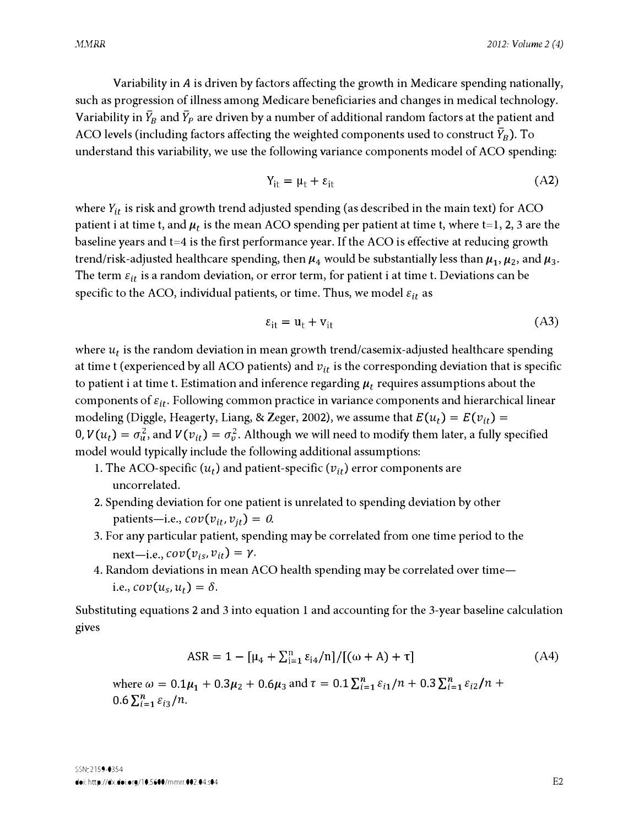Variability in A is driven by factors affecting the growth in Medicare spending nationally, such as progression of illness among Medicare beneficiaries and changes in medical technology. Variability in  $\bar{Y}_B$  and  $\bar{Y}_P$  are driven by a number of additional random factors at the patient and ACO levels (including factors affecting the weighted components used to construct  $\bar{Y}_B$ ). To understand this variability, we use the following variance components model of ACO spending:

$$
Y_{it} = \mu_t + \varepsilon_{it} \tag{A2}
$$

where  $Y_{it}$  is risk and growth trend adjusted spending (as described in the main text) for ACO patient i at time t, and  $\mu_t$  is the mean ACO spending per patient at time t, where t=1, 2, 3 are the baseline years and t=4 is the first performance year. If the ACO is effective at reducing growth trend/risk-adjusted healthcare spending, then  $\mu_4$  would be substantially less than  $\mu_1, \mu_2$ , and  $\mu_3$ . The term  $\varepsilon_{it}$  is a random deviation, or error term, for patient i at time t. Deviations can be specific to the ACO, individual patients, or time. Thus, we model  $\varepsilon_{it}$  as

$$
\varepsilon_{it} = u_t + v_{it} \tag{A3}
$$

where  $u_t$  is the random deviation in mean growth trend/casemix-adjusted healthcare spending at time t (experienced by all ACO patients) and  $v_{it}$  is the corresponding deviation that is specific to patient i at time t. Estimation and inference regarding  $\mu_t$  requires assumptions about the components of  $\varepsilon_{it}$ . Following common practice in variance components and hierarchical linear modeling (Diggle, Heagerty, Liang, & Zeger, 2002), we assume that  $E(u_t) = E(v_{it}) =$ 0,  $V(u_t) = \sigma_u^2$ , and  $V(v_{it}) = \sigma_v^2$ . Although we will need to modify them later, a fully specified model would typically include the following additional assumptions:

- 1. The ACO-specific  $(u_t)$  and patient-specific  $(v_{it})$  error components are uncorrelated.
- 2. Spending deviation for one patient is unrelated to spending deviation by other patients-i.e.,  $cov(v_{it}, v_{it}) = 0$ .
- 3. For any particular patient, spending may be correlated from one time period to the next-i.e.,  $cov(v_{is}, v_{it}) = \gamma$ .
- 4. Random deviations in mean ACO health spending may be correlated over timei.e.,  $cov(u_s, u_t) = \delta$ .

Substituting equations 2 and 3 into equation 1 and accounting for the 3-year baseline calculation gives

$$
ASR = 1 - [\mu_4 + \sum_{i=1}^{n} \varepsilon_{i4}/n]/[(\omega + A) + \tau]
$$
 (A4)

where  $\omega = 0.1\mu_1 + 0.3\mu_2 + 0.6\mu_3$  and  $\tau = 0.1\sum_{i=1}^{n} \varepsilon_{i1}/n + 0.3\sum_{i=1}^{n} \varepsilon_{i2}/n +$  $0.6 \sum_{i=1}^{n} \varepsilon_{i3}/n$ .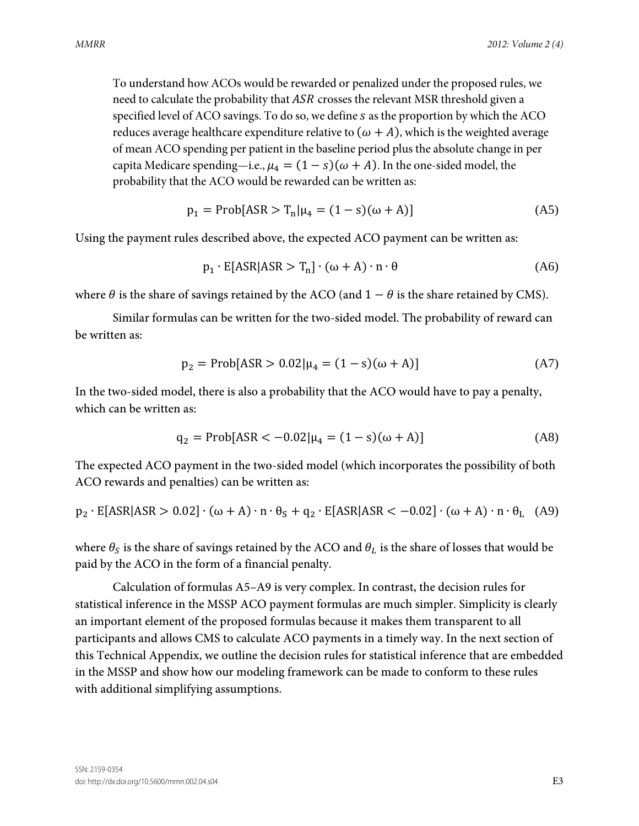To understand how ACOs would be rewarded or penalized under the proposed rules, we need to calculate the probability that ASR crosses the relevant MSR threshold given a specified level of ACO savings. To do so, we define  $s$  as the proportion by which the ACO reduces average healthcare expenditure relative to  $(\omega + A)$ , which is the weighted average of mean ACO spending per patient in the baseline period plus the absolute change in per capita Medicare spending—i.e.,  $\mu_4 = (1 - s)(\omega + A)$ . In the one-sided model, the probability that the ACO would be rewarded can be written as:

$$
p_1 = Prob[ASR > T_n | \mu_4 = (1 - s)(\omega + A)]
$$
 (A5)

Using the payment rules described above, the expected ACO payment can be written as:

$$
p_1 \cdot E[ASR|ASR > T_n] \cdot (\omega + A) \cdot n \cdot \theta \tag{A6}
$$

where  $\theta$  is the share of savings retained by the ACO (and  $1 - \theta$  is the share retained by CMS).

Similar formulas can be written for the two-sided model. The probability of reward can be written as:

$$
p_2 = Prob[ASR > 0.02 | \mu_4 = (1 - s)(\omega + A)] \tag{A7}
$$

In the two-sided model, there is also a probability that the ACO would have to pay a penalty, which can be written as:

$$
q_2 = Prob[ASR < -0.02 | \mu_4 = (1 - s)(\omega + A)]
$$
 (A8)

The expected ACO payment in the two-sided model (which incorporates the possibility of both ACO rewards and penalties) can be written as:

$$
p_2 \cdot E[ASR|ASR > 0.02] \cdot (\omega + A) \cdot n \cdot \theta_S + q_2 \cdot E[ASR|ASR < -0.02] \cdot (\omega + A) \cdot n \cdot \theta_L
$$
 (A9)

where  $\theta_s$  is the share of savings retained by the ACO and  $\theta_L$  is the share of losses that would be paid by the ACO in the form of a financial penalty.

Calculation of formulas A5–A9 is very complex. In contrast, the decision rules for statistical inference in the MSSP ACO payment formulas are much simpler. Simplicity is clearly an important element of the proposed formulas because it makes them transparent to all participants and allows CMS to calculate ACO payments in a timely way. In the next section of this Technical Appendix, we outline the decision rules for statistical inference that are embedded in the MSSP and show how our modeling framework can be made to conform to these rules with additional simplifying assumptions.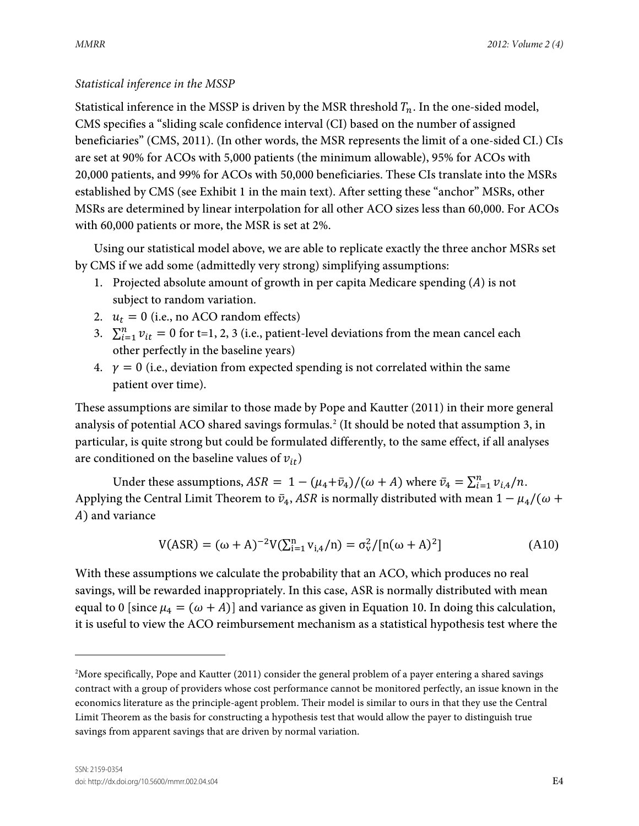## *Statistical inference in the MSSP*

Statistical inference in the MSSP is driven by the MSR threshold  $T_n$ . In the one-sided model, CMS specifies a "sliding scale confidence interval (CI) based on the number of assigned beneficiaries" (CMS, 2011). (In other words, the MSR represents the limit of a one-sided CI.) CIs are set at 90% for ACOs with 5,000 patients (the minimum allowable), 95% for ACOs with 20,000 patients, and 99% for ACOs with 50,000 beneficiaries. These CIs translate into the MSRs established by CMS (see Exhibit 1 in the main text). After setting these "anchor" MSRs, other MSRs are determined by linear interpolation for all other ACO sizes less than 60,000. For ACOs with 60,000 patients or more, the MSR is set at 2%.

Using our statistical model above, we are able to replicate exactly the three anchor MSRs set by CMS if we add some (admittedly very strong) simplifying assumptions:

- 1. Projected absolute amount of growth in per capita Medicare spending  $(A)$  is not subject to random variation.
- 2.  $u_t = 0$  (i.e., no ACO random effects)
- 3.  $\sum_{i=1}^{n} v_{it} = 0$  for t=1, 2, 3 (i.e., patient-level deviations from the mean cancel each other perfectly in the baseline years)
- 4.  $\gamma = 0$  (i.e., deviation from expected spending is not correlated within the same patient over time).

These assumptions are similar to those made by Pope and Kautter (2011) in their more general analysis of potential ACO shared savings formulas.<sup>[2](#page-19-0)</sup> (It should be noted that assumption 3, in particular, is quite strong but could be formulated differently, to the same effect, if all analyses are conditioned on the baseline values of  $v_{it}$ )

Under these assumptions,  $ASR = 1 - (\mu_4 + \bar{\nu}_4)/(\omega + A)$  where  $\bar{\nu}_4 = \sum_{i=1}^{n} \nu_{i,4}/n$ . Applying the Central Limit Theorem to  $\bar{v}_4$ , ASR is normally distributed with mean  $1 - \mu_4/(\omega +$ ) and variance

$$
V(ASR) = (\omega + A)^{-2} V(\sum_{i=1}^{n} v_{i,4}/n) = \sigma_v^2 / [n(\omega + A)^2]
$$
 (A10)

With these assumptions we calculate the probability that an ACO, which produces no real savings, will be rewarded inappropriately. In this case, ASR is normally distributed with mean equal to 0 [since  $\mu_4 = (\omega + A)$ ] and variance as given in Equation 10. In doing this calculation, it is useful to view the ACO reimbursement mechanism as a statistical hypothesis test where the

 $\overline{a}$ 

<span id="page-19-0"></span><sup>2</sup> More specifically, Pope and Kautter (2011) consider the general problem of a payer entering a shared savings contract with a group of providers whose cost performance cannot be monitored perfectly, an issue known in the economics literature as the principle-agent problem. Their model is similar to ours in that they use the Central Limit Theorem as the basis for constructing a hypothesis test that would allow the payer to distinguish true savings from apparent savings that are driven by normal variation.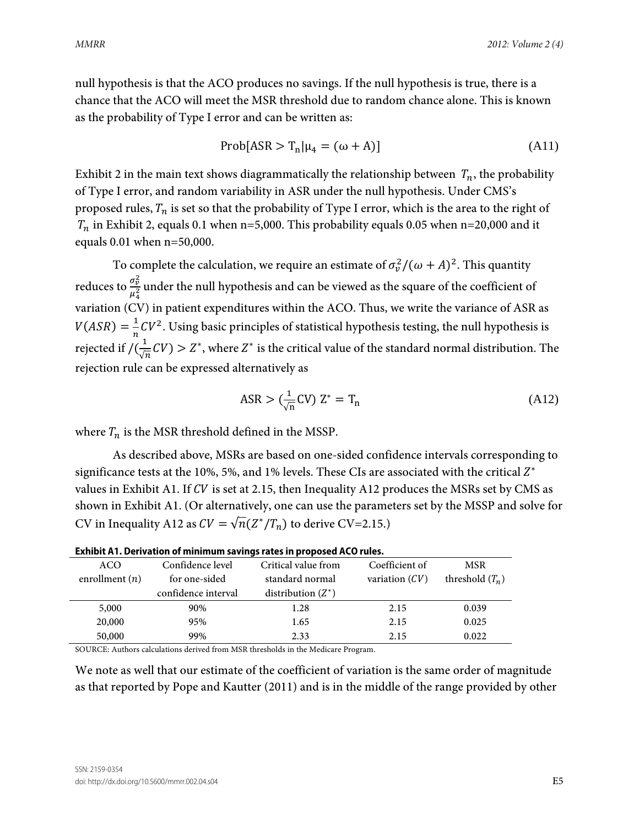null hypothesis is that the ACO produces no savings. If the null hypothesis is true, there is a chance that the ACO will meet the MSR threshold due to random chance alone. This is known as the probability of Type I error and can be written as:

$$
Prob[ASR > Tn | \mu4 = (\omega + A)]
$$
 (A11)

Exhibit 2 in the main text shows diagrammatically the relationship between  $T_n$ , the probability of Type I error, and random variability in ASR under the null hypothesis. Under CMS's proposed rules,  $T_n$  is set so that the probability of Type I error, which is the area to the right of  $T_n$  in Exhibit 2, equals 0.1 when n=5,000. This probability equals 0.05 when n=20,000 and it equals 0.01 when n=50,000.

To complete the calculation, we require an estimate of  $\sigma_v^2/(\omega + A)^2$ . This quantity reduces to  $\frac{\sigma_v^2}{\sigma_v^2}$  $\frac{\partial v}{\partial t^2}$  under the null hypothesis and can be viewed as the square of the coefficient of variation (CV) in patient expenditures within the ACO. Thus, we write the variance of ASR as  $V(ASR) = \frac{1}{n}CV^2$ . Using basic principles of statistical hypothesis testing, the null hypothesis is rejected if  $/(\frac{1}{\sqrt{n}}CV) > Z^*$ , where  $Z^*$  is the critical value of the standard normal distribution. The rejection rule can be expressed alternatively as

$$
\text{ASR} > \left(\frac{1}{\sqrt{n}}\text{CV}\right) \mathbf{Z}^* = \mathbf{T}_n \tag{A12}
$$

where  $T_n$  is the MSR threshold defined in the MSSP.

As described above, MSRs are based on one-sided confidence intervals corresponding to significance tests at the 10%, 5%, and 1% levels. These CIs are associated with the critical  $Z^*$ values in Exhibit A1. If  $CV$  is set at 2.15, then Inequality A12 produces the MSRs set by CMS as shown in Exhibit A1. (Or alternatively, one can use the parameters set by the MSSP and solve for CV in Inequality A12 as  $CV = \sqrt{n}(Z^*/T_n)$  to derive CV=2.15.)

| <u>EXHIDIL A I. DEHVALION OF MINIMUM SAVINGS TALES IN PRODUCED ACO TUIES.</u> |                     |                      |                  |                   |
|-------------------------------------------------------------------------------|---------------------|----------------------|------------------|-------------------|
| ACO                                                                           | Confidence level    | Critical value from  | Coefficient of   | <b>MSR</b>        |
| enrollment $(n)$                                                              | for one-sided       | standard normal      | variation $(CV)$ | threshold $(T_n)$ |
|                                                                               | confidence interval | distribution $(Z^*)$ |                  |                   |
| 5,000                                                                         | 90%                 | 1.28                 | 2.15             | 0.039             |
| 20,000                                                                        | 95%                 | 1.65                 | 2.15             | 0.025             |
| 50,000                                                                        | 99%                 | 2.33                 | 2.15             | 0.022             |

| Exhibit A1. Derivation of minimum savings rates in proposed ACO rules. |  |
|------------------------------------------------------------------------|--|
|------------------------------------------------------------------------|--|

SOURCE: Authors calculations derived from MSR thresholds in the Medicare Program.

We note as well that our estimate of the coefficient of variation is the same order of magnitude as that reported by Pope and Kautter (2011) and is in the middle of the range provided by other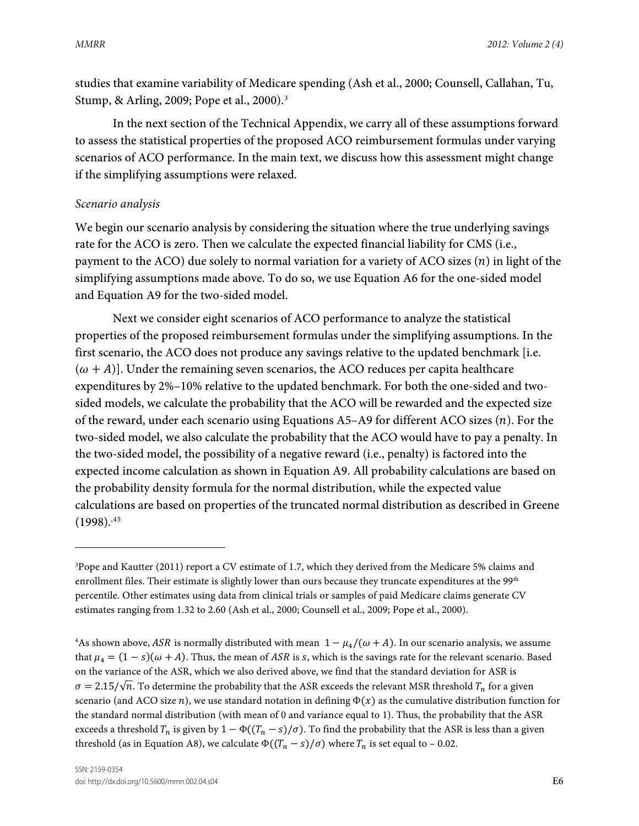studies that examine variability of Medicare spending (Ash et al., 2000; Counsell, Callahan, Tu, Stump, & Arling, 2009; Pope et al., 2000).[3](#page-21-0)

In the next section of the Technical Appendix, we carry all of these assumptions forward to assess the statistical properties of the proposed ACO reimbursement formulas under varying scenarios of ACO performance. In the main text, we discuss how this assessment might change if the simplifying assumptions were relaxed.

## *Scenario analysis*

 $\overline{a}$ 

We begin our scenario analysis by considering the situation where the true underlying savings rate for the ACO is zero. Then we calculate the expected financial liability for CMS (i.e., payment to the ACO) due solely to normal variation for a variety of ACO sizes  $(n)$  in light of the simplifying assumptions made above. To do so, we use Equation A6 for the one-sided model and Equation A9 for the two-sided model.

Next we consider eight scenarios of ACO performance to analyze the statistical properties of the proposed reimbursement formulas under the simplifying assumptions. In the first scenario, the ACO does not produce any savings relative to the updated benchmark [i.e.  $(\omega + A)$ . Under the remaining seven scenarios, the ACO reduces per capita healthcare expenditures by 2%–10% relative to the updated benchmark. For both the one-sided and twosided models, we calculate the probability that the ACO will be rewarded and the expected size of the reward, under each scenario using Equations  $A5-A9$  for different ACO sizes  $(n)$ . For the two-sided model, we also calculate the probability that the ACO would have to pay a penalty. In the two-sided model, the possibility of a negative reward (i.e., penalty) is factored into the expected income calculation as shown in Equation A9. All probability calculations are based on the probability density formula for the normal distribution, while the expected value calculations are based on properties of the truncated normal distribution as described in Greene  $(1998).^{45}$  $(1998).^{45}$  $(1998).^{45}$ 

<span id="page-21-0"></span><sup>3</sup> Pope and Kautter (2011) report a CV estimate of 1.7, which they derived from the Medicare 5% claims and enrollment files. Their estimate is slightly lower than ours because they truncate expenditures at the 99<sup>th</sup> percentile. Other estimates using data from clinical trials or samples of paid Medicare claims generate CV estimates ranging from 1.32 to 2.60 (Ash et al., 2000; Counsell et al., 2009; Pope et al., 2000).

<span id="page-21-2"></span><span id="page-21-1"></span><sup>&</sup>lt;sup>4</sup>As shown above, ASR is normally distributed with mean  $1 - \mu_4/(\omega + A)$ . In our scenario analysis, we assume that  $\mu_4 = (1 - s)(\omega + A)$ . Thus, the mean of ASR is s, which is the savings rate for the relevant scenario. Based on the variance of the ASR, which we also derived above, we find that the standard deviation for ASR is  $\sigma = 2.15/\sqrt{n}$ . To determine the probability that the ASR exceeds the relevant MSR threshold  $T_n$  for a given scenario (and ACO size  $n$ ), we use standard notation in defining  $\Phi(x)$  as the cumulative distribution function for the standard normal distribution (with mean of 0 and variance equal to 1). Thus, the probability that the ASR exceeds a threshold  $T_n$  is given by  $1 - \Phi((T_n - s)/\sigma)$ . To find the probability that the ASR is less than a given threshold (as in Equation A8), we calculate  $\Phi((T_n - s)/\sigma)$  where  $T_n$  is set equal to – 0.02.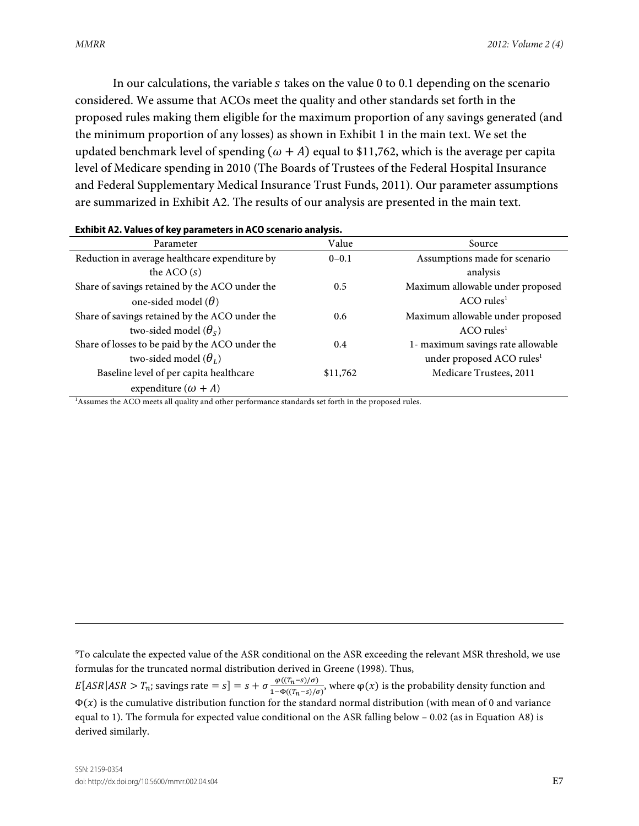In our calculations, the variable  $s$  takes on the value 0 to 0.1 depending on the scenario considered. We assume that ACOs meet the quality and other standards set forth in the proposed rules making them eligible for the maximum proportion of any savings generated (and the minimum proportion of any losses) as shown in Exhibit 1 in the main text. We set the updated benchmark level of spending  $(\omega + A)$  equal to \$11,762, which is the average per capita level of Medicare spending in 2010 (The Boards of Trustees of the Federal Hospital Insurance and Federal Supplementary Medical Insurance Trust Funds, 2011). Our parameter assumptions are summarized in Exhibit A2. The results of our analysis are presented in the main text.

| EAINDR / 12, TURGS OF REY PURNINGERS IN ACCEPTION UNIVERSISM                                                    |               |                                       |  |  |
|-----------------------------------------------------------------------------------------------------------------|---------------|---------------------------------------|--|--|
| Parameter                                                                                                       | Value         | Source                                |  |  |
| Reduction in average healthcare expenditure by                                                                  | $0 - 0.1$     | Assumptions made for scenario         |  |  |
| the ACO $(s)$                                                                                                   |               | analysis                              |  |  |
| Share of savings retained by the ACO under the                                                                  | 0.5           | Maximum allowable under proposed      |  |  |
| one-sided model $(\theta)$                                                                                      |               | $ACO$ rules <sup>1</sup>              |  |  |
| Share of savings retained by the ACO under the                                                                  | $0.6^{\circ}$ | Maximum allowable under proposed      |  |  |
| two-sided model $(\theta_s)$                                                                                    |               | $ACO$ rules <sup>1</sup>              |  |  |
| Share of losses to be paid by the ACO under the                                                                 | 0.4           | 1- maximum savings rate allowable     |  |  |
| two-sided model $(\theta_L)$                                                                                    |               | under proposed ACO rules <sup>1</sup> |  |  |
| Baseline level of per capita healthcare                                                                         | \$11,762      | Medicare Trustees, 2011               |  |  |
| expenditure $(\omega + A)$                                                                                      |               |                                       |  |  |
| <sup>1</sup> Assumes the ACO meets all quality and other performance standards set forth in the proposed rules. |               |                                       |  |  |

#### **Exhibit A2. Values of key parameters in ACO scenario analysis.**

5 To calculate the expected value of the ASR conditional on the ASR exceeding the relevant MSR threshold, we use formulas for the truncated normal distribution derived in Greene (1998). Thus,  $E[ASR|ASR > T_n$ ; savings rate  $= s$ ]  $= s + \sigma \frac{\varphi((T_n - s)/\sigma)}{1 - \Phi((T_n - s)/\sigma)}$ , where  $\varphi(x)$  is the probability density function and  $\Phi(x)$  is the cumulative distribution function for the standard normal distribution (with mean of 0 and variance equal to 1). The formula for expected value conditional on the ASR falling below – 0.02 (as in Equation A8) is derived similarly.

 $\overline{a}$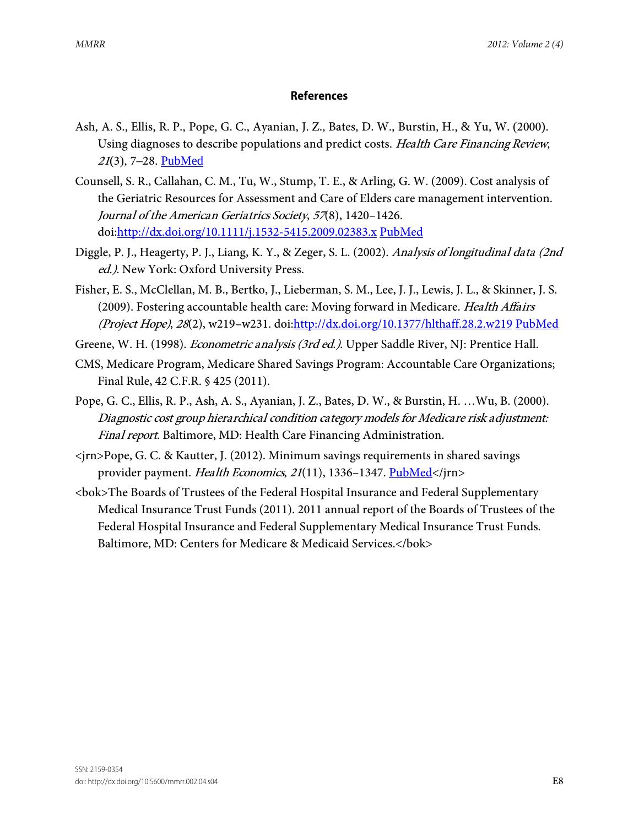### **References**

- Ash, A. S., Ellis, R. P., Pope, G. C., Ayanian, J. Z., Bates, D. W., Burstin, H., & Yu, W. (2000). Using diagnoses to describe populations and predict costs. Health Care Financing Review, <sup>21</sup>(3), 7–28. [PubMed](http://www.ncbi.nlm.nih.gov/entrez/query.fcgi?cmd=Retrieve&db=PubMed&list_uids=11481769&dopt=Abstract)
- Counsell, S. R., Callahan, C. M., Tu, W., Stump, T. E., & Arling, G. W. (2009). Cost analysis of the Geriatric Resources for Assessment and Care of Elders care management intervention. Journal of the American Geriatrics Society, 57(8), 1420–1426. doi[:http://dx.doi.org/10.1111/j.1532-5415.2009.02383.x](http://dx.doi.org/10.1111/j.1532-5415.2009.02383.x) [PubMed](http://dx.doi.org/10.1111/j.1532-5415.2009.02383.x)
- Diggle, P. J., Heagerty, P. J., Liang, K. Y., & Zeger, S. L. (2002). Analysis of longitudinal data (2nd ed.). New York: Oxford University Press.
- Fisher, E. S., McClellan, M. B., Bertko, J., Lieberman, S. M., Lee, J. J., Lewis, J. L., & Skinner, J. S. (2009). Fostering accountable health care: Moving forward in Medicare. Health Affairs (Project Hope), 28(2), w219-w231. doi[:http://dx.doi.org/10.1377/hlthaff.28.2.w219](http://dx.doi.org/10.1377/hlthaff.28.2.w219) [PubMed](http://dx.doi.org/10.1377/hlthaff.28.2.w219)
- Greene, W. H. (1998). Econometric analysis (3rd ed.). Upper Saddle River, NJ: Prentice Hall.
- CMS, Medicare Program, Medicare Shared Savings Program: Accountable Care Organizations; Final Rule, 42 C.F.R. § 425 (2011).
- Pope, G. C., Ellis, R. P., Ash, A. S., Ayanian, J. Z., Bates, D. W., & Burstin, H. …Wu, B. (2000). Diagnostic cost group hierarchical condition category models for Medicare risk adjustment: Final report. Baltimore, MD: Health Care Financing Administration.
- <jrn>Pope, G. C. & Kautter, J. (2012). Minimum savings requirements in shared savings provider payment. Health Economics, 21(11), 1336-1347. [PubMed<](http://www.ncbi.nlm.nih.gov/entrez/query.fcgi?cmd=Retrieve&db=PubMed&list_uids=21971882&dopt=Abstract)/jrn>
- <bok>The Boards of Trustees of the Federal Hospital Insurance and Federal Supplementary Medical Insurance Trust Funds (2011). 2011 annual report of the Boards of Trustees of the Federal Hospital Insurance and Federal Supplementary Medical Insurance Trust Funds. Baltimore, MD: Centers for Medicare & Medicaid Services.</bok>